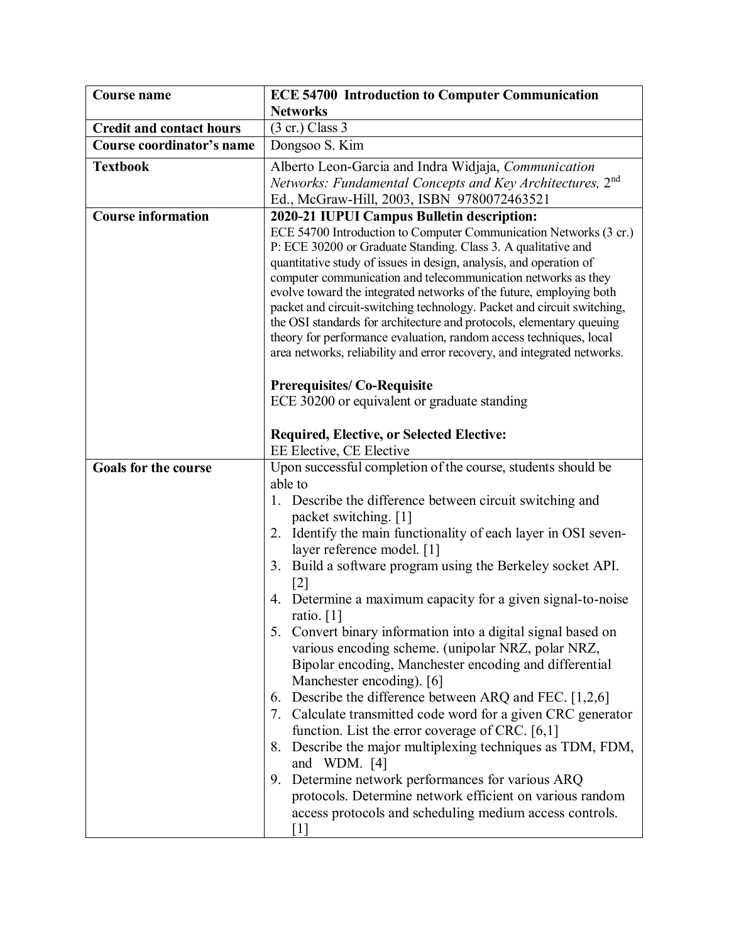| <b>Course name</b>              | <b>ECE 54700 Introduction to Computer Communication</b>                                                                                                                                                                                                                                                                                                                                                                                                                                                                                                                                                                                                                                                                                                                                                                                                                                                                                                                                                                                       |
|---------------------------------|-----------------------------------------------------------------------------------------------------------------------------------------------------------------------------------------------------------------------------------------------------------------------------------------------------------------------------------------------------------------------------------------------------------------------------------------------------------------------------------------------------------------------------------------------------------------------------------------------------------------------------------------------------------------------------------------------------------------------------------------------------------------------------------------------------------------------------------------------------------------------------------------------------------------------------------------------------------------------------------------------------------------------------------------------|
|                                 | <b>Networks</b>                                                                                                                                                                                                                                                                                                                                                                                                                                                                                                                                                                                                                                                                                                                                                                                                                                                                                                                                                                                                                               |
| <b>Credit and contact hours</b> | $(3 \text{ cr.})$ Class 3                                                                                                                                                                                                                                                                                                                                                                                                                                                                                                                                                                                                                                                                                                                                                                                                                                                                                                                                                                                                                     |
| Course coordinator's name       | Dongsoo S. Kim                                                                                                                                                                                                                                                                                                                                                                                                                                                                                                                                                                                                                                                                                                                                                                                                                                                                                                                                                                                                                                |
| <b>Textbook</b>                 | Alberto Leon-Garcia and Indra Widjaja, Communication<br>Networks: Fundamental Concepts and Key Architectures, 2nd<br>Ed., McGraw-Hill, 2003, ISBN 9780072463521                                                                                                                                                                                                                                                                                                                                                                                                                                                                                                                                                                                                                                                                                                                                                                                                                                                                               |
| <b>Course information</b>       | 2020-21 IUPUI Campus Bulletin description:<br>ECE 54700 Introduction to Computer Communication Networks (3 cr.)<br>P: ECE 30200 or Graduate Standing. Class 3. A qualitative and<br>quantitative study of issues in design, analysis, and operation of<br>computer communication and telecommunication networks as they<br>evolve toward the integrated networks of the future, employing both<br>packet and circuit-switching technology. Packet and circuit switching,<br>the OSI standards for architecture and protocols, elementary queuing<br>theory for performance evaluation, random access techniques, local<br>area networks, reliability and error recovery, and integrated networks.                                                                                                                                                                                                                                                                                                                                             |
|                                 | <b>Prerequisites/Co-Requisite</b><br>ECE 30200 or equivalent or graduate standing<br><b>Required, Elective, or Selected Elective:</b><br>EE Elective, CE Elective                                                                                                                                                                                                                                                                                                                                                                                                                                                                                                                                                                                                                                                                                                                                                                                                                                                                             |
| <b>Goals for the course</b>     | Upon successful completion of the course, students should be                                                                                                                                                                                                                                                                                                                                                                                                                                                                                                                                                                                                                                                                                                                                                                                                                                                                                                                                                                                  |
|                                 | able to<br>1. Describe the difference between circuit switching and<br>packet switching. [1]<br>2. Identify the main functionality of each layer in OSI seven-<br>layer reference model. [1]<br>3. Build a software program using the Berkeley socket API.<br>$\lceil 2 \rceil$<br>4. Determine a maximum capacity for a given signal-to-noise<br>ratio. $[1]$<br>5. Convert binary information into a digital signal based on<br>various encoding scheme. (unipolar NRZ, polar NRZ,<br>Bipolar encoding, Manchester encoding and differential<br>Manchester encoding). [6]<br>6. Describe the difference between ARQ and FEC. [1,2,6]<br>7. Calculate transmitted code word for a given CRC generator<br>function. List the error coverage of CRC. $[6,1]$<br>Describe the major multiplexing techniques as TDM, FDM,<br>8.<br>and WDM. [4]<br>9. Determine network performances for various ARQ<br>protocols. Determine network efficient on various random<br>access protocols and scheduling medium access controls.<br>$\lceil 1 \rceil$ |